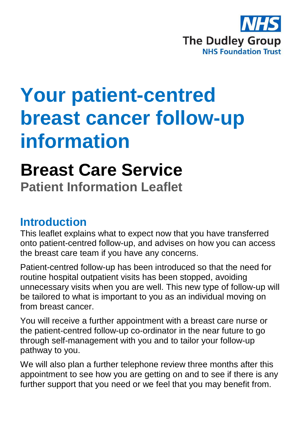

# **Your patient-centred breast cancer follow-up information**

# **Breast Care Service**

**Patient Information Leaflet**

## **Introduction**

This leaflet explains what to expect now that you have transferred onto patient-centred follow-up, and advises on how you can access the breast care team if you have any concerns.

Patient-centred follow-up has been introduced so that the need for routine hospital outpatient visits has been stopped, avoiding unnecessary visits when you are well. This new type of follow-up will be tailored to what is important to you as an individual moving on from breast cancer.

You will receive a further appointment with a breast care nurse or the patient-centred follow-up co-ordinator in the near future to go through self-management with you and to tailor your follow-up pathway to you.

We will also plan a further telephone review three months after this appointment to see how you are getting on and to see if there is any further support that you need or we feel that you may benefit from.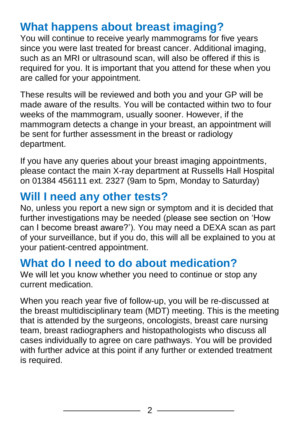## **What happens about breast imaging?**

You will continue to receive yearly mammograms for five years since you were last treated for breast cancer. Additional imaging, such as an MRI or ultrasound scan, will also be offered if this is required for you. It is important that you attend for these when you are called for your appointment.

These results will be reviewed and both you and your GP will be made aware of the results. You will be contacted within two to four weeks of the mammogram, usually sooner. However, if the mammogram detects a change in your breast, an appointment will be sent for further assessment in the breast or radiology department.

If you have any queries about your breast imaging appointments, please contact the main X-ray department at Russells Hall Hospital on 01384 456111 ext. 2327 (9am to 5pm, Monday to Saturday)

## **Will I need any other tests?**

No, unless you report a new sign or symptom and it is decided that further investigations may be needed (please see section on 'How can I become breast aware?'). You may need a DEXA scan as part of your surveillance, but if you do, this will all be explained to you at your patient-centred appointment.

## **What do I need to do about medication?**

We will let you know whether you need to continue or stop any current medication.

When you reach year five of follow-up, you will be re-discussed at the breast multidisciplinary team (MDT) meeting. This is the meeting that is attended by the surgeons, oncologists, breast care nursing team, breast radiographers and histopathologists who discuss all cases individually to agree on care pathways. You will be provided with further advice at this point if any further or extended treatment is required.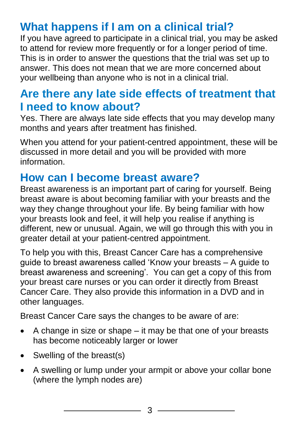## **What happens if I am on a clinical trial?**

If you have agreed to participate in a clinical trial, you may be asked to attend for review more frequently or for a longer period of time. This is in order to answer the questions that the trial was set up to answer. This does not mean that we are more concerned about your wellbeing than anyone who is not in a clinical trial.

## **Are there any late side effects of treatment that I need to know about?**

Yes. There are always late side effects that you may develop many months and years after treatment has finished.

When you attend for your patient-centred appointment, these will be discussed in more detail and you will be provided with more information.

## **How can I become breast aware?**

Breast awareness is an important part of caring for yourself. Being breast aware is about becoming familiar with your breasts and the way they change throughout your life. By being familiar with how your breasts look and feel, it will help you realise if anything is different, new or unusual. Again, we will go through this with you in greater detail at your patient-centred appointment.

To help you with this, Breast Cancer Care has a comprehensive guide to breast awareness called 'Know your breasts – A guide to breast awareness and screening'. You can get a copy of this from your breast care nurses or you can order it directly from Breast Cancer Care. They also provide this information in a DVD and in other languages.

Breast Cancer Care says the changes to be aware of are:

- $\bullet$  A change in size or shape it may be that one of your breasts has become noticeably larger or lower
- Swelling of the breast(s)
- A swelling or lump under your armpit or above your collar bone (where the lymph nodes are)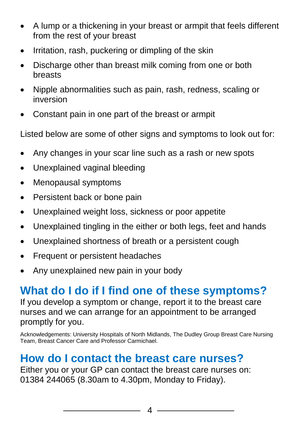- A lump or a thickening in your breast or armpit that feels different from the rest of your breast
- Irritation, rash, puckering or dimpling of the skin
- Discharge other than breast milk coming from one or both breasts
- Nipple abnormalities such as pain, rash, redness, scaling or inversion
- Constant pain in one part of the breast or armpit

Listed below are some of other signs and symptoms to look out for:

- Any changes in your scar line such as a rash or new spots
- Unexplained vaginal bleeding
- Menopausal symptoms
- Persistent back or bone pain
- Unexplained weight loss, sickness or poor appetite
- Unexplained tingling in the either or both legs, feet and hands
- Unexplained shortness of breath or a persistent cough
- Frequent or persistent headaches
- Any unexplained new pain in your body

## **What do I do if I find one of these symptoms?**

If you develop a symptom or change, report it to the breast care nurses and we can arrange for an appointment to be arranged promptly for you.

Acknowledgements: University Hospitals of North Midlands, The Dudley Group Breast Care Nursing Team, Breast Cancer Care and Professor Carmichael.

## **How do I contact the breast care nurses?**

Either you or your GP can contact the breast care nurses on: 01384 244065 (8.30am to 4.30pm, Monday to Friday).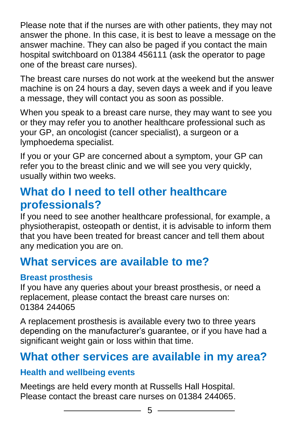Please note that if the nurses are with other patients, they may not answer the phone. In this case, it is best to leave a message on the answer machine. They can also be paged if you contact the main hospital switchboard on 01384 456111 (ask the operator to page one of the breast care nurses).

The breast care nurses do not work at the weekend but the answer machine is on 24 hours a day, seven days a week and if you leave a message, they will contact you as soon as possible.

When you speak to a breast care nurse, they may want to see you or they may refer you to another healthcare professional such as your GP, an oncologist (cancer specialist), a surgeon or a lymphoedema specialist.

If you or your GP are concerned about a symptom, your GP can refer you to the breast clinic and we will see you very quickly, usually within two weeks.

## **What do I need to tell other healthcare professionals?**

If you need to see another healthcare professional, for example, a physiotherapist, osteopath or dentist, it is advisable to inform them that you have been treated for breast cancer and tell them about any medication you are on.

## **What services are available to me?**

### **Breast prosthesis**

If you have any queries about your breast prosthesis, or need a replacement, please contact the breast care nurses on: 01384 244065

A replacement prosthesis is available every two to three years depending on the manufacturer's guarantee, or if you have had a significant weight gain or loss within that time.

## **What other services are available in my area?**

#### **Health and wellbeing events**

Meetings are held every month at Russells Hall Hospital. Please contact the breast care nurses on 01384 244065.

 $\overline{\phantom{a}}$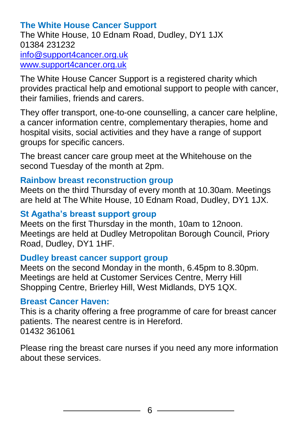### **The White House Cancer Support**

The White House, 10 Ednam Road, Dudley, DY1 1JX 01384 231232 [info@support4cancer.org.uk](file:///C:/Users/sdav03/AppData/Local/Microsoft/Windows/Temporary%20Internet%20Files/Content.Outlook/OHTKWL6I/info@support4cancer.org.uk) [www.support4cancer.org.uk](http://www.support4cancer.org.uk/)

The White House Cancer Support is a registered charity which provides practical help and emotional support to people with cancer, their families, friends and carers.

They offer transport, one-to-one counselling, a cancer care helpline, a cancer information centre, complementary therapies, home and hospital visits, social activities and they have a range of support groups for specific cancers.

The breast cancer care group meet at the Whitehouse on the second Tuesday of the month at 2pm.

#### **Rainbow breast reconstruction group**

Meets on the third Thursday of every month at 10.30am. Meetings are held at The White House, 10 Ednam Road, Dudley, DY1 1JX.

#### **St Agatha's breast support group**

Meets on the first Thursday in the month, 10am to 12noon. Meetings are held at Dudley Metropolitan Borough Council, Priory Road, Dudley, DY1 1HF.

#### **Dudley breast cancer support group**

Meets on the second Monday in the month, 6.45pm to 8.30pm. Meetings are held at Customer Services Centre, Merry Hill Shopping Centre, Brierley Hill, West Midlands, DY5 1QX.

#### **Breast Cancer Haven:**

This is a charity offering a free programme of care for breast cancer patients. The nearest centre is in Hereford. 01432 361061

Please ring the breast care nurses if you need any more information about these services.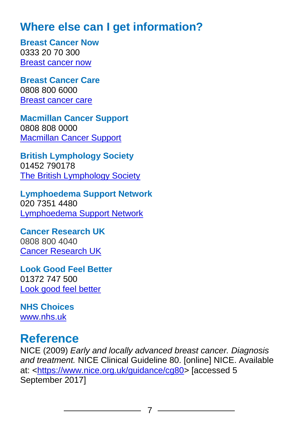## **Where else can I get information?**

**Breast Cancer Now** 0333 20 70 300 [Breast cancer now](http://breastcancernow.org/about-breast-cancer)

**Breast Cancer Care** 0808 800 6000 [Breast cancer care](https://www.breastcancercare.org.uk/)

**Macmillan Cancer Support** 0808 808 0000 [Macmillan Cancer Support](https://www.macmillan.org.uk/)

**British Lymphology Society** 01452 790178 [The British Lymphology Society](http://www.thebls.com/)

**Lymphoedema Support Network** 020 7351 4480 [Lymphoedema Support Network](http://www.lymphoedema.org/index.php)

**Cancer Research UK** 0808 800 4040 [Cancer Research UK](https://www.cancerresearchuk.org/)

**Look Good Feel Better** 01372 747 500 [Look good feel better](http://www.lookgoodfeelbetter.co.uk/)

**NHS Choices** [www.nhs.uk](http://www.nhs.uk/pages/home.aspx)

## **Reference**

NICE (2009) *Early and locally advanced breast cancer. Diagnosis and treatment.* NICE Clinical Guideline 80. [online] NICE. Available at: [<https://www.nice.org.uk/guidance/cg80>](https://www.nice.org.uk/guidance/cg80) [accessed 5 September 2017]